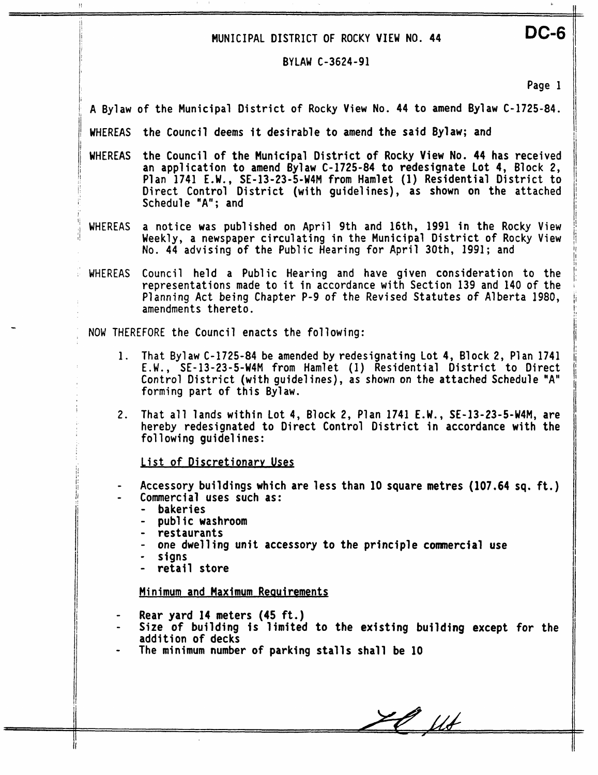# MUNICIPAL DISTRICT **OF** ROCKY VIEW **NO.** 44

## BYLAW C-3624-91

Page 1

**DC-6** 

A Bylaw of the Municipal District of Rocky View No. 44 to amend Bylaw C-1725-84.

<sup>I</sup>**WHEREAS** the Council deems it desirable to amend the said Bylaw; and

WHEREAS the Council of the Municipal District of Rocky View No. 44 has received an application to amend Bylaw C-1725-84 to redesignate Lot 4, Block 2, Plan 1741 E.W., SE-13-23-5-W4M from Hamlet (1) Residential District to Direct Control District (with guidelines), as shown on the attached Schedule "A"; and

WHEREAS a notice was published on April 9th and 16th, 1991 in the Rocky View Weekly, a newspaper circulating in the Municipal District of **Rocky** View No. 44 advising of the **Public** Hearing for April 30th, 1991; and

WHEREAS Council held a Public Hearing and have given consideration to the representations made to it in accordance with Section 139 and 140 of the Planning Act being Chapter P-9 of the Revised Statutes of Alberta 1980, amendments thereto.

, NOW THEREFORE the Council enacts the following:

- **1.** That Bylaw C-1725-84 be amended by redesignating Lot 4, Block 2, Plan 1741 E.W. , SE-13-23-5-W4M from Hamlet (1) Residential District to Direct Control District (with guidelines), as shown on the attached Schedule "A" forming part of this Bylaw.
- <sup>I</sup>**2.** That all lands within Lot 4, Block 2, Plan 1741 E.W., SE-13-23-5-W4M, are hereby redesignated to Direct Control District in accordance with the following guidelines:

List of Discretionary Uses

- Accessory buildings which are less than 10 square **metres** (107.64 sq. ft.)
	- Commercial uses such as:
		- bakeries

I i. I

 $\bar{1}$ 

- public washroom
- restaurants
- one dwelling unit accessory to the principle commercial use
- signs
- retail store

Minimum and Maximum Reauirements

- Rear **yard 14** meters (45 ft.)
- Near jure 17 meters (10 rb.)<br>Size of building is limited to the existing building except for the<br>addition of decks
- The minimum number of parking stalls shall be 10

 $20$  flt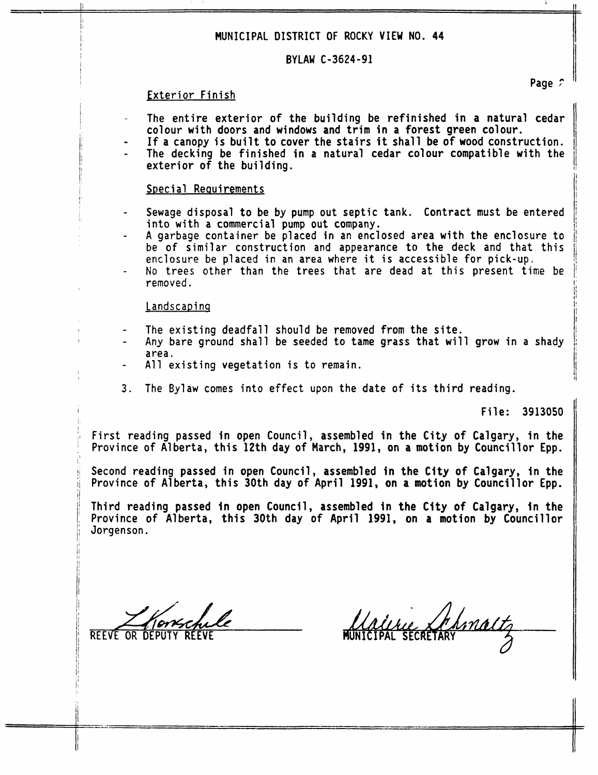# **MUNICIPAL DISTRICT OF ROCKY VIEW NO. 44**

### BYLAW C-3624-91

### Exterior Finish

- The entire exterior of the building be refinished in a natural cedar colour with doors and windows and trim in a forest green colour.
- exterior of the building. If a canopy is built to cover the stairs it shall be of wood construction. The decking be finished in a natural cedar colour compatible with the

#### **SDeci a1** Reauirements

- Sewage disposal to be by pump out septic tank. Contract must be entered into with a commercial pump out company.
- A garbage container be placed in an enclosed area with the enclosure to be of similar construction and appearance to the deck and that this enclosure be **placed** in **an** area where it is accessjble for pick-up.
- No trees other than the trees that are dead at this present time **be**  removed.

### Landscaping

- The existing deadfall should be removed from the site.
- Any bare ground shall be seeded to tame grass that **will** grow in a shady area.
- All existing vegetation is to remain.
- 3. The Bylaw comes into effect upon the date of its third reading.

File: 3913050

First reading passed in open Council, assembled in the City of Calgary, in the Province of Alberta, this 12th day of March, 1991, on a motion by Councillor Epp.

Second reading passed in open Council, assembled in the City of Calgary, in the Province of Alberta, this 30th day of April 1991, on a motion by Councillor Epp.

Third reading passed in open **Councfl,** assembled **in** the City of Calgary, in the Province of Alberta, this 30th day of April 1991, on a motion by Councillor Jorgenson.

**REEVE OR** 

!!<br>!!<br>!! fl

**I** 

 $\cdot$ 

j/

<sup>L</sup>' I,

1: '

f j

Page 2